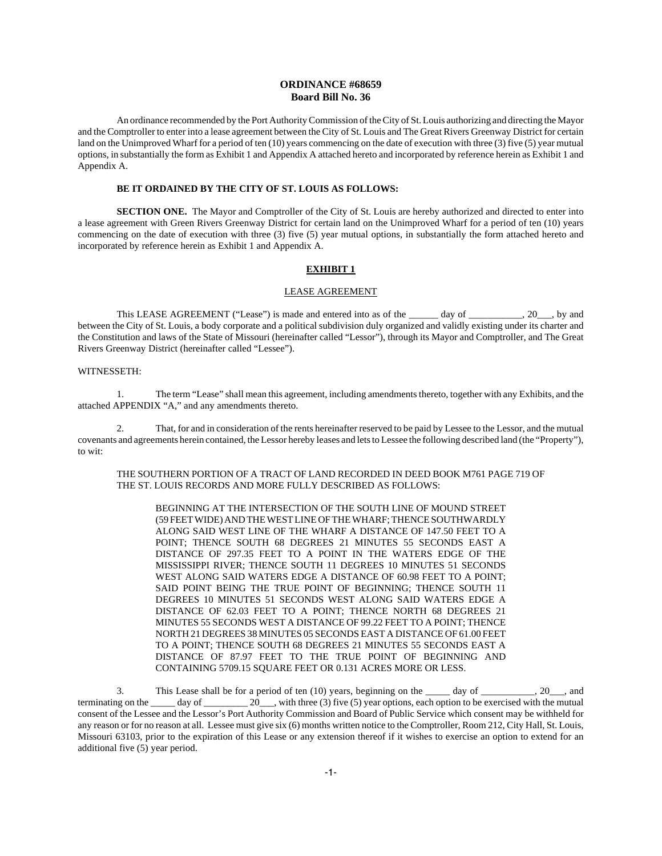# **ORDINANCE #68659 Board Bill No. 36**

An ordinance recommended by the Port Authority Commission of the City of St. Louis authorizing and directing the Mayor and the Comptroller to enter into a lease agreement between the City of St. Louis and The Great Rivers Greenway District for certain land on the Unimproved Wharf for a period of ten (10) years commencing on the date of execution with three (3) five (5) year mutual options, in substantially the form as Exhibit 1 and Appendix A attached hereto and incorporated by reference herein as Exhibit 1 and Appendix A.

## **BE IT ORDAINED BY THE CITY OF ST. LOUIS AS FOLLOWS:**

**SECTION ONE.** The Mayor and Comptroller of the City of St. Louis are hereby authorized and directed to enter into a lease agreement with Green Rivers Greenway District for certain land on the Unimproved Wharf for a period of ten (10) years commencing on the date of execution with three (3) five (5) year mutual options, in substantially the form attached hereto and incorporated by reference herein as Exhibit 1 and Appendix A.

## **EXHIBIT 1**

## LEASE AGREEMENT

This LEASE AGREEMENT ("Lease") is made and entered into as of the \_\_\_\_\_ day of \_\_\_\_\_\_\_\_\_, 20\_\_, by and between the City of St. Louis, a body corporate and a political subdivision duly organized and validly existing under its charter and the Constitution and laws of the State of Missouri (hereinafter called "Lessor"), through its Mayor and Comptroller, and The Great Rivers Greenway District (hereinafter called "Lessee").

## WITNESSETH:

1. The term "Lease" shall mean this agreement, including amendments thereto, together with any Exhibits, and the attached APPENDIX "A," and any amendments thereto.

2. That, for and in consideration of the rents hereinafter reserved to be paid by Lessee to the Lessor, and the mutual covenants and agreements herein contained, the Lessor hereby leases and lets to Lessee the following described land (the "Property"), to wit:

## THE SOUTHERN PORTION OF A TRACT OF LAND RECORDED IN DEED BOOK M761 PAGE 719 OF THE ST. LOUIS RECORDS AND MORE FULLY DESCRIBED AS FOLLOWS:

BEGINNING AT THE INTERSECTION OF THE SOUTH LINE OF MOUND STREET (59 FEET WIDE) AND THE WEST LINE OF THE WHARF; THENCE SOUTHWARDLY ALONG SAID WEST LINE OF THE WHARF A DISTANCE OF 147.50 FEET TO A POINT; THENCE SOUTH 68 DEGREES 21 MINUTES 55 SECONDS EAST A DISTANCE OF 297.35 FEET TO A POINT IN THE WATERS EDGE OF THE MISSISSIPPI RIVER; THENCE SOUTH 11 DEGREES 10 MINUTES 51 SECONDS WEST ALONG SAID WATERS EDGE A DISTANCE OF 60.98 FEET TO A POINT; SAID POINT BEING THE TRUE POINT OF BEGINNING; THENCE SOUTH 11 DEGREES 10 MINUTES 51 SECONDS WEST ALONG SAID WATERS EDGE A DISTANCE OF 62.03 FEET TO A POINT; THENCE NORTH 68 DEGREES 21 MINUTES 55 SECONDS WEST A DISTANCE OF 99.22 FEET TO A POINT; THENCE NORTH 21 DEGREES 38 MINUTES 05 SECONDS EAST A DISTANCE OF 61.00 FEET TO A POINT; THENCE SOUTH 68 DEGREES 21 MINUTES 55 SECONDS EAST A DISTANCE OF 87.97 FEET TO THE TRUE POINT OF BEGINNING AND CONTAINING 5709.15 SQUARE FEET OR 0.131 ACRES MORE OR LESS.

3. This Lease shall be for a period of ten (10) years, beginning on the \_\_\_\_\_ day of \_\_\_\_\_\_\_\_\_\_\_, 20\_\_\_, and terminating on the \_\_\_\_\_ day of \_\_\_\_\_\_\_\_ 20\_\_\_, with three (3) five (5) year options, each option to be exercised with the mutual consent of the Lessee and the Lessor's Port Authority Commission and Board of Public Service which consent may be withheld for any reason or for no reason at all. Lessee must give six (6) months written notice to the Comptroller, Room 212, City Hall, St. Louis, Missouri 63103, prior to the expiration of this Lease or any extension thereof if it wishes to exercise an option to extend for an additional five (5) year period.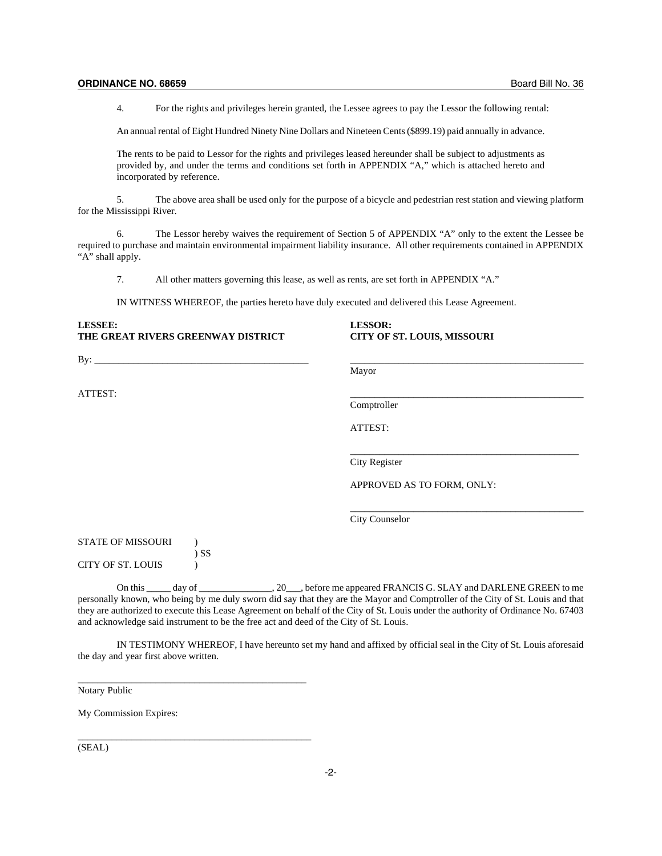# **ORDINANCE NO. 68659** Board Bill No. 36

4. For the rights and privileges herein granted, the Lessee agrees to pay the Lessor the following rental:

An annual rental of Eight Hundred Ninety Nine Dollars and Nineteen Cents (\$899.19) paid annually in advance.

The rents to be paid to Lessor for the rights and privileges leased hereunder shall be subject to adjustments as provided by, and under the terms and conditions set forth in APPENDIX "A," which is attached hereto and incorporated by reference.

5. The above area shall be used only for the purpose of a bicycle and pedestrian rest station and viewing platform for the Mississippi River.

6. The Lessor hereby waives the requirement of Section 5 of APPENDIX "A" only to the extent the Lessee be required to purchase and maintain environmental impairment liability insurance. All other requirements contained in APPENDIX "A" shall apply.

7. All other matters governing this lease, as well as rents, are set forth in APPENDIX "A."

IN WITNESS WHEREOF, the parties hereto have duly executed and delivered this Lease Agreement.

| <b>LESSEE:</b><br>THE GREAT RIVERS GREENWAY DISTRICT | <b>LESSOR:</b><br>CITY OF ST. LOUIS, MISSOURI |
|------------------------------------------------------|-----------------------------------------------|
|                                                      |                                               |
|                                                      | Mayor                                         |
| ATTEST:                                              |                                               |
|                                                      | Comptroller                                   |
|                                                      | ATTEST:                                       |
|                                                      | City Register                                 |
|                                                      | APPROVED AS TO FORM, ONLY:                    |
|                                                      | City Counselor                                |
| <b>STATE OF MISSOURI</b><br>$)$ SS                   |                                               |
| <b>CITY OF ST. LOUIS</b>                             |                                               |

On this \_\_\_\_\_ day of \_\_\_\_\_\_\_\_\_\_\_\_\_, 20\_\_\_, before me appeared FRANCIS G. SLAY and DARLENE GREEN to me personally known, who being by me duly sworn did say that they are the Mayor and Comptroller of the City of St. Louis and that they are authorized to execute this Lease Agreement on behalf of the City of St. Louis under the authority of Ordinance No. 67403 and acknowledge said instrument to be the free act and deed of the City of St. Louis.

IN TESTIMONY WHEREOF, I have hereunto set my hand and affixed by official seal in the City of St. Louis aforesaid the day and year first above written.

Notary Public

My Commission Expires:

\_\_\_\_\_\_\_\_\_\_\_\_\_\_\_\_\_\_\_\_\_\_\_\_\_\_\_\_\_\_\_\_\_\_\_\_\_\_\_\_\_\_\_\_\_\_\_

\_\_\_\_\_\_\_\_\_\_\_\_\_\_\_\_\_\_\_\_\_\_\_\_\_\_\_\_\_\_\_\_\_\_\_\_\_\_\_\_\_\_\_\_\_\_\_\_

(SEAL)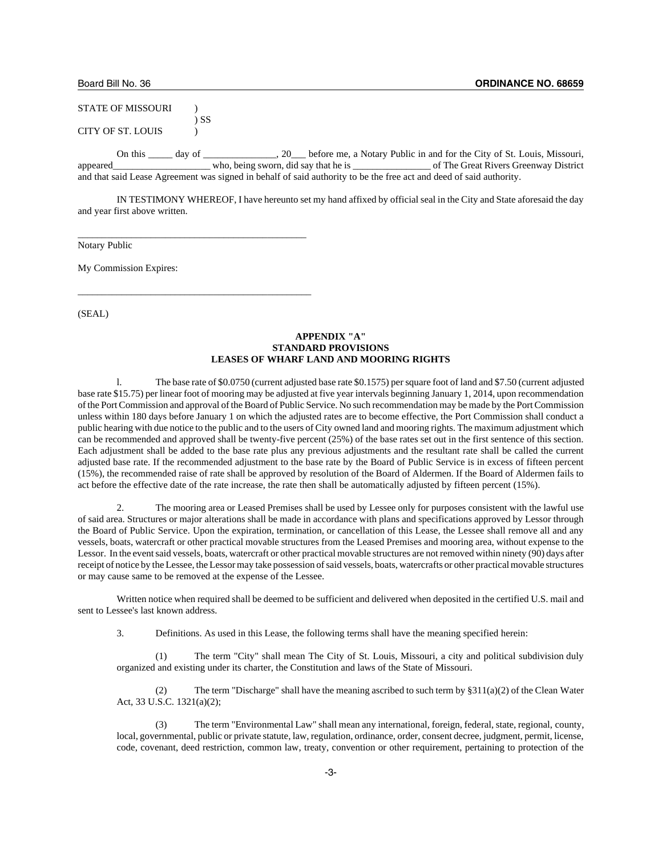| <b>STATE OF MISSOURI</b> |        |                                      |                                                                           |
|--------------------------|--------|--------------------------------------|---------------------------------------------------------------------------|
| CITY OF ST. LOUIS        | SS     |                                      |                                                                           |
| On this                  | day of |                                      | 20 before me, a Notary Public in and for the City of St. Louis, Missouri, |
| appeared                 |        | who, being sworn, did say that he is | of The Great Rivers Greenway District                                     |

and that said Lease Agreement was signed in behalf of said authority to be the free act and deed of said authority.

IN TESTIMONY WHEREOF, I have hereunto set my hand affixed by official seal in the City and State aforesaid the day and year first above written.

Notary Public

My Commission Expires:

\_\_\_\_\_\_\_\_\_\_\_\_\_\_\_\_\_\_\_\_\_\_\_\_\_\_\_\_\_\_\_\_\_\_\_\_\_\_\_\_\_\_\_\_\_\_\_

\_\_\_\_\_\_\_\_\_\_\_\_\_\_\_\_\_\_\_\_\_\_\_\_\_\_\_\_\_\_\_\_\_\_\_\_\_\_\_\_\_\_\_\_\_\_\_\_

(SEAL)

## **APPENDIX "A" STANDARD PROVISIONS LEASES OF WHARF LAND AND MOORING RIGHTS**

l. The base rate of \$0.0750 (current adjusted base rate \$0.1575) per square foot of land and \$7.50 (current adjusted base rate \$15.75) per linear foot of mooring may be adjusted at five year intervals beginning January 1, 2014, upon recommendation of the Port Commission and approval of the Board of Public Service. No such recommendation may be made by the Port Commission unless within 180 days before January 1 on which the adjusted rates are to become effective, the Port Commission shall conduct a public hearing with due notice to the public and to the users of City owned land and mooring rights. The maximum adjustment which can be recommended and approved shall be twenty-five percent (25%) of the base rates set out in the first sentence of this section. Each adjustment shall be added to the base rate plus any previous adjustments and the resultant rate shall be called the current adjusted base rate. If the recommended adjustment to the base rate by the Board of Public Service is in excess of fifteen percent (15%), the recommended raise of rate shall be approved by resolution of the Board of Aldermen. If the Board of Aldermen fails to act before the effective date of the rate increase, the rate then shall be automatically adjusted by fifteen percent (15%).

2. The mooring area or Leased Premises shall be used by Lessee only for purposes consistent with the lawful use of said area. Structures or major alterations shall be made in accordance with plans and specifications approved by Lessor through the Board of Public Service. Upon the expiration, termination, or cancellation of this Lease, the Lessee shall remove all and any vessels, boats, watercraft or other practical movable structures from the Leased Premises and mooring area, without expense to the Lessor. In the event said vessels, boats, watercraft or other practical movable structures are not removed within ninety (90) days after receipt of notice by the Lessee, the Lessor may take possession of said vessels, boats, watercrafts or other practical movable structures or may cause same to be removed at the expense of the Lessee.

Written notice when required shall be deemed to be sufficient and delivered when deposited in the certified U.S. mail and sent to Lessee's last known address.

3. Definitions. As used in this Lease, the following terms shall have the meaning specified herein:

The term "City" shall mean The City of St. Louis, Missouri, a city and political subdivision duly organized and existing under its charter, the Constitution and laws of the State of Missouri.

(2) The term "Discharge" shall have the meaning ascribed to such term by §311(a)(2) of the Clean Water Act, 33 U.S.C. 1321(a)(2);

(3) The term "Environmental Law" shall mean any international, foreign, federal, state, regional, county, local, governmental, public or private statute, law, regulation, ordinance, order, consent decree, judgment, permit, license, code, covenant, deed restriction, common law, treaty, convention or other requirement, pertaining to protection of the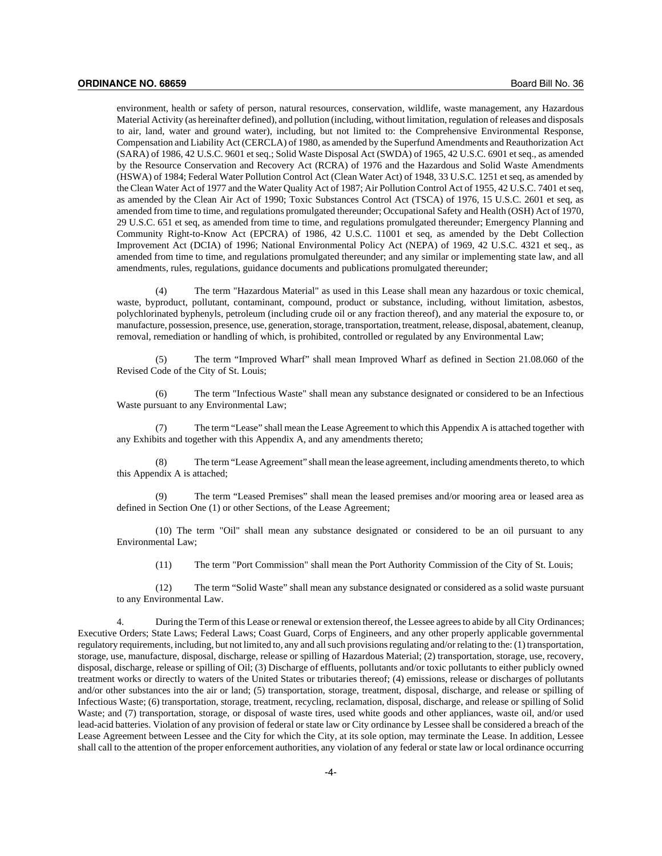environment, health or safety of person, natural resources, conservation, wildlife, waste management, any Hazardous Material Activity (as hereinafter defined), and pollution (including, without limitation, regulation of releases and disposals to air, land, water and ground water), including, but not limited to: the Comprehensive Environmental Response, Compensation and Liability Act (CERCLA) of 1980, as amended by the Superfund Amendments and Reauthorization Act (SARA) of 1986, 42 U.S.C. 9601 et seq.; Solid Waste Disposal Act (SWDA) of 1965, 42 U.S.C. 6901 et seq., as amended by the Resource Conservation and Recovery Act (RCRA) of 1976 and the Hazardous and Solid Waste Amendments (HSWA) of 1984; Federal Water Pollution Control Act (Clean Water Act) of 1948, 33 U.S.C. 1251 et seq, as amended by the Clean Water Act of 1977 and the Water Quality Act of 1987; Air Pollution Control Act of 1955, 42 U.S.C. 7401 et seq, as amended by the Clean Air Act of 1990; Toxic Substances Control Act (TSCA) of 1976, 15 U.S.C. 2601 et seq, as amended from time to time, and regulations promulgated thereunder; Occupational Safety and Health (OSH) Act of 1970, 29 U.S.C. 651 et seq, as amended from time to time, and regulations promulgated thereunder; Emergency Planning and Community Right-to-Know Act (EPCRA) of 1986, 42 U.S.C. 11001 et seq, as amended by the Debt Collection Improvement Act (DCIA) of 1996; National Environmental Policy Act (NEPA) of 1969, 42 U.S.C. 4321 et seq., as amended from time to time, and regulations promulgated thereunder; and any similar or implementing state law, and all amendments, rules, regulations, guidance documents and publications promulgated thereunder;

(4) The term "Hazardous Material" as used in this Lease shall mean any hazardous or toxic chemical, waste, byproduct, pollutant, contaminant, compound, product or substance, including, without limitation, asbestos, polychlorinated byphenyls, petroleum (including crude oil or any fraction thereof), and any material the exposure to, or manufacture, possession, presence, use, generation, storage, transportation, treatment, release, disposal, abatement, cleanup, removal, remediation or handling of which, is prohibited, controlled or regulated by any Environmental Law;

(5) The term "Improved Wharf" shall mean Improved Wharf as defined in Section 21.08.060 of the Revised Code of the City of St. Louis;

(6) The term "Infectious Waste" shall mean any substance designated or considered to be an Infectious Waste pursuant to any Environmental Law;

(7) The term "Lease" shall mean the Lease Agreement to which this Appendix A is attached together with any Exhibits and together with this Appendix A, and any amendments thereto;

(8) The term "Lease Agreement" shall mean the lease agreement, including amendments thereto, to which this Appendix A is attached;

The term "Leased Premises" shall mean the leased premises and/or mooring area or leased area as defined in Section One (1) or other Sections, of the Lease Agreement;

(10) The term "Oil" shall mean any substance designated or considered to be an oil pursuant to any Environmental Law;

(11) The term "Port Commission" shall mean the Port Authority Commission of the City of St. Louis;

(12) The term "Solid Waste" shall mean any substance designated or considered as a solid waste pursuant to any Environmental Law.

4. During the Term of this Lease or renewal or extension thereof, the Lessee agrees to abide by all City Ordinances; Executive Orders; State Laws; Federal Laws; Coast Guard, Corps of Engineers, and any other properly applicable governmental regulatory requirements, including, but not limited to, any and all such provisions regulating and/or relating to the: (1) transportation, storage, use, manufacture, disposal, discharge, release or spilling of Hazardous Material; (2) transportation, storage, use, recovery, disposal, discharge, release or spilling of Oil; (3) Discharge of effluents, pollutants and/or toxic pollutants to either publicly owned treatment works or directly to waters of the United States or tributaries thereof; (4) emissions, release or discharges of pollutants and/or other substances into the air or land; (5) transportation, storage, treatment, disposal, discharge, and release or spilling of Infectious Waste; (6) transportation, storage, treatment, recycling, reclamation, disposal, discharge, and release or spilling of Solid Waste; and (7) transportation, storage, or disposal of waste tires, used white goods and other appliances, waste oil, and/or used lead-acid batteries. Violation of any provision of federal or state law or City ordinance by Lessee shall be considered a breach of the Lease Agreement between Lessee and the City for which the City, at its sole option, may terminate the Lease. In addition, Lessee shall call to the attention of the proper enforcement authorities, any violation of any federal or state law or local ordinance occurring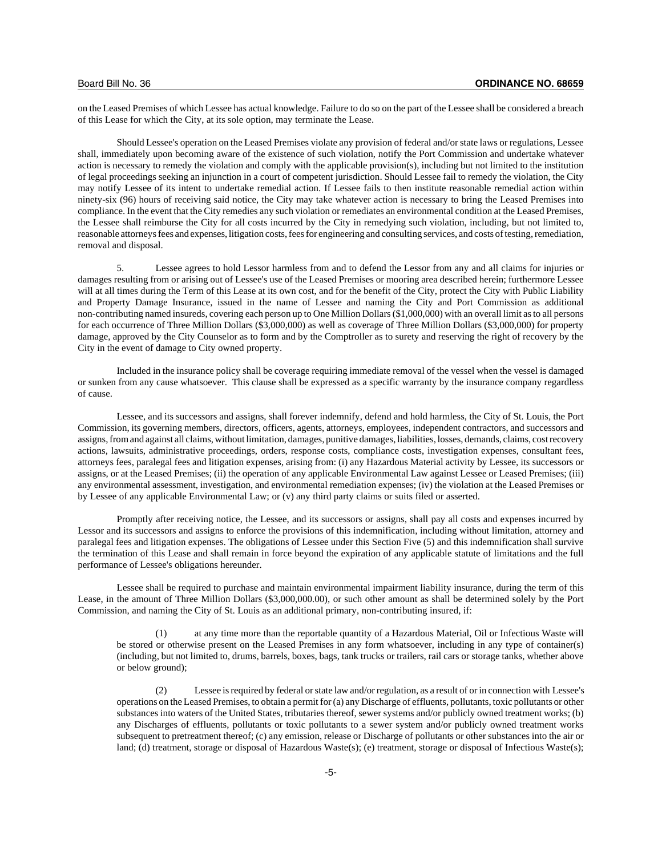on the Leased Premises of which Lessee has actual knowledge. Failure to do so on the part of the Lessee shall be considered a breach of this Lease for which the City, at its sole option, may terminate the Lease.

Should Lessee's operation on the Leased Premises violate any provision of federal and/or state laws or regulations, Lessee shall, immediately upon becoming aware of the existence of such violation, notify the Port Commission and undertake whatever action is necessary to remedy the violation and comply with the applicable provision(s), including but not limited to the institution of legal proceedings seeking an injunction in a court of competent jurisdiction. Should Lessee fail to remedy the violation, the City may notify Lessee of its intent to undertake remedial action. If Lessee fails to then institute reasonable remedial action within ninety-six (96) hours of receiving said notice, the City may take whatever action is necessary to bring the Leased Premises into compliance. In the event that the City remedies any such violation or remediates an environmental condition at the Leased Premises, the Lessee shall reimburse the City for all costs incurred by the City in remedying such violation, including, but not limited to, reasonable attorneys fees and expenses, litigation costs, fees for engineering and consulting services, and costs of testing, remediation, removal and disposal.

5. Lessee agrees to hold Lessor harmless from and to defend the Lessor from any and all claims for injuries or damages resulting from or arising out of Lessee's use of the Leased Premises or mooring area described herein; furthermore Lessee will at all times during the Term of this Lease at its own cost, and for the benefit of the City, protect the City with Public Liability and Property Damage Insurance, issued in the name of Lessee and naming the City and Port Commission as additional non-contributing named insureds, covering each person up to One Million Dollars (\$1,000,000) with an overall limit as to all persons for each occurrence of Three Million Dollars (\$3,000,000) as well as coverage of Three Million Dollars (\$3,000,000) for property damage, approved by the City Counselor as to form and by the Comptroller as to surety and reserving the right of recovery by the City in the event of damage to City owned property.

Included in the insurance policy shall be coverage requiring immediate removal of the vessel when the vessel is damaged or sunken from any cause whatsoever. This clause shall be expressed as a specific warranty by the insurance company regardless of cause.

Lessee, and its successors and assigns, shall forever indemnify, defend and hold harmless, the City of St. Louis, the Port Commission, its governing members, directors, officers, agents, attorneys, employees, independent contractors, and successors and assigns, from and against all claims, without limitation, damages, punitive damages, liabilities, losses, demands, claims, cost recovery actions, lawsuits, administrative proceedings, orders, response costs, compliance costs, investigation expenses, consultant fees, attorneys fees, paralegal fees and litigation expenses, arising from: (i) any Hazardous Material activity by Lessee, its successors or assigns, or at the Leased Premises; (ii) the operation of any applicable Environmental Law against Lessee or Leased Premises; (iii) any environmental assessment, investigation, and environmental remediation expenses; (iv) the violation at the Leased Premises or by Lessee of any applicable Environmental Law; or (v) any third party claims or suits filed or asserted.

Promptly after receiving notice, the Lessee, and its successors or assigns, shall pay all costs and expenses incurred by Lessor and its successors and assigns to enforce the provisions of this indemnification, including without limitation, attorney and paralegal fees and litigation expenses. The obligations of Lessee under this Section Five (5) and this indemnification shall survive the termination of this Lease and shall remain in force beyond the expiration of any applicable statute of limitations and the full performance of Lessee's obligations hereunder.

Lessee shall be required to purchase and maintain environmental impairment liability insurance, during the term of this Lease, in the amount of Three Million Dollars (\$3,000,000.00), or such other amount as shall be determined solely by the Port Commission, and naming the City of St. Louis as an additional primary, non-contributing insured, if:

at any time more than the reportable quantity of a Hazardous Material, Oil or Infectious Waste will be stored or otherwise present on the Leased Premises in any form whatsoever, including in any type of container(s) (including, but not limited to, drums, barrels, boxes, bags, tank trucks or trailers, rail cars or storage tanks, whether above or below ground);

(2) Lessee is required by federal or state law and/or regulation, as a result of or in connection with Lessee's operations on the Leased Premises, to obtain a permit for (a) any Discharge of effluents, pollutants, toxic pollutants or other substances into waters of the United States, tributaries thereof, sewer systems and/or publicly owned treatment works; (b) any Discharges of effluents, pollutants or toxic pollutants to a sewer system and/or publicly owned treatment works subsequent to pretreatment thereof; (c) any emission, release or Discharge of pollutants or other substances into the air or land; (d) treatment, storage or disposal of Hazardous Waste(s); (e) treatment, storage or disposal of Infectious Waste(s);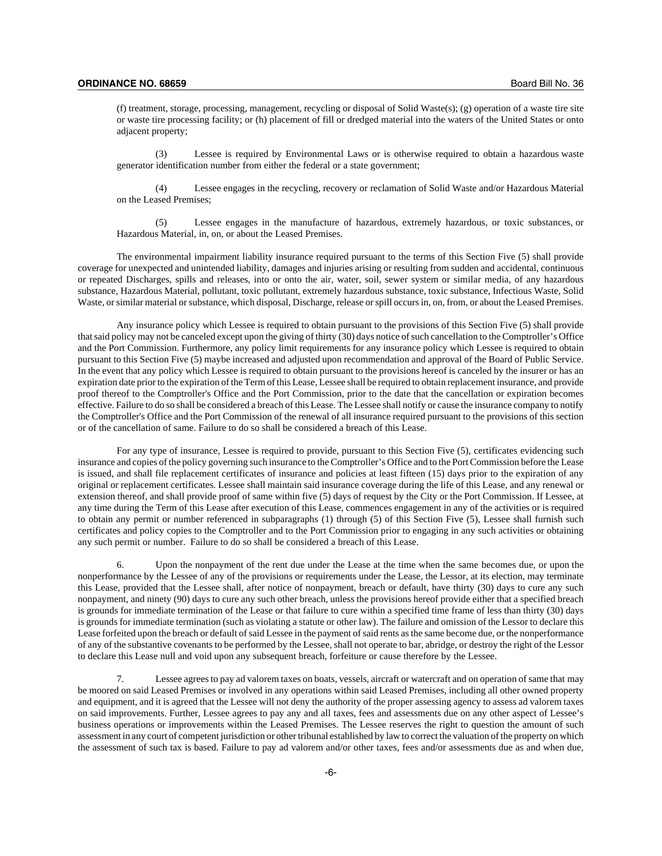(f) treatment, storage, processing, management, recycling or disposal of Solid Waste(s); (g) operation of a waste tire site or waste tire processing facility; or (h) placement of fill or dredged material into the waters of the United States or onto adjacent property;

(3) Lessee is required by Environmental Laws or is otherwise required to obtain a hazardous waste generator identification number from either the federal or a state government;

(4) Lessee engages in the recycling, recovery or reclamation of Solid Waste and/or Hazardous Material on the Leased Premises;

(5) Lessee engages in the manufacture of hazardous, extremely hazardous, or toxic substances, or Hazardous Material, in, on, or about the Leased Premises.

The environmental impairment liability insurance required pursuant to the terms of this Section Five (5) shall provide coverage for unexpected and unintended liability, damages and injuries arising or resulting from sudden and accidental, continuous or repeated Discharges, spills and releases, into or onto the air, water, soil, sewer system or similar media, of any hazardous substance, Hazardous Material, pollutant, toxic pollutant, extremely hazardous substance, toxic substance, Infectious Waste, Solid Waste, or similar material or substance, which disposal, Discharge, release or spill occurs in, on, from, or about the Leased Premises.

Any insurance policy which Lessee is required to obtain pursuant to the provisions of this Section Five (5) shall provide that said policy may not be canceled except upon the giving of thirty (30) days notice of such cancellation to the Comptroller's Office and the Port Commission. Furthermore, any policy limit requirements for any insurance policy which Lessee is required to obtain pursuant to this Section Five (5) maybe increased and adjusted upon recommendation and approval of the Board of Public Service. In the event that any policy which Lessee is required to obtain pursuant to the provisions hereof is canceled by the insurer or has an expiration date prior to the expiration of the Term of this Lease, Lessee shall be required to obtain replacement insurance, and provide proof thereof to the Comptroller's Office and the Port Commission, prior to the date that the cancellation or expiration becomes effective. Failure to do so shall be considered a breach of this Lease. The Lessee shall notify or cause the insurance company to notify the Comptroller's Office and the Port Commission of the renewal of all insurance required pursuant to the provisions of this section or of the cancellation of same. Failure to do so shall be considered a breach of this Lease.

For any type of insurance, Lessee is required to provide, pursuant to this Section Five (5), certificates evidencing such insurance and copies of the policy governing such insurance to the Comptroller's Office and to the Port Commission before the Lease is issued, and shall file replacement certificates of insurance and policies at least fifteen (15) days prior to the expiration of any original or replacement certificates. Lessee shall maintain said insurance coverage during the life of this Lease, and any renewal or extension thereof, and shall provide proof of same within five (5) days of request by the City or the Port Commission. If Lessee, at any time during the Term of this Lease after execution of this Lease, commences engagement in any of the activities or is required to obtain any permit or number referenced in subparagraphs (1) through (5) of this Section Five (5), Lessee shall furnish such certificates and policy copies to the Comptroller and to the Port Commission prior to engaging in any such activities or obtaining any such permit or number. Failure to do so shall be considered a breach of this Lease.

6. Upon the nonpayment of the rent due under the Lease at the time when the same becomes due, or upon the nonperformance by the Lessee of any of the provisions or requirements under the Lease, the Lessor, at its election, may terminate this Lease, provided that the Lessee shall, after notice of nonpayment, breach or default, have thirty (30) days to cure any such nonpayment, and ninety (90) days to cure any such other breach, unless the provisions hereof provide either that a specified breach is grounds for immediate termination of the Lease or that failure to cure within a specified time frame of less than thirty (30) days is grounds for immediate termination (such as violating a statute or other law). The failure and omission of the Lessor to declare this Lease forfeited upon the breach or default of said Lessee in the payment of said rents as the same become due, or the nonperformance of any of the substantive covenants to be performed by the Lessee, shall not operate to bar, abridge, or destroy the right of the Lessor to declare this Lease null and void upon any subsequent breach, forfeiture or cause therefore by the Lessee.

7. Lessee agrees to pay ad valorem taxes on boats, vessels, aircraft or watercraft and on operation of same that may be moored on said Leased Premises or involved in any operations within said Leased Premises, including all other owned property and equipment, and it is agreed that the Lessee will not deny the authority of the proper assessing agency to assess ad valorem taxes on said improvements. Further, Lessee agrees to pay any and all taxes, fees and assessments due on any other aspect of Lessee's business operations or improvements within the Leased Premises. The Lessee reserves the right to question the amount of such assessment in any court of competent jurisdiction or other tribunal established by law to correct the valuation of the property on which the assessment of such tax is based. Failure to pay ad valorem and/or other taxes, fees and/or assessments due as and when due,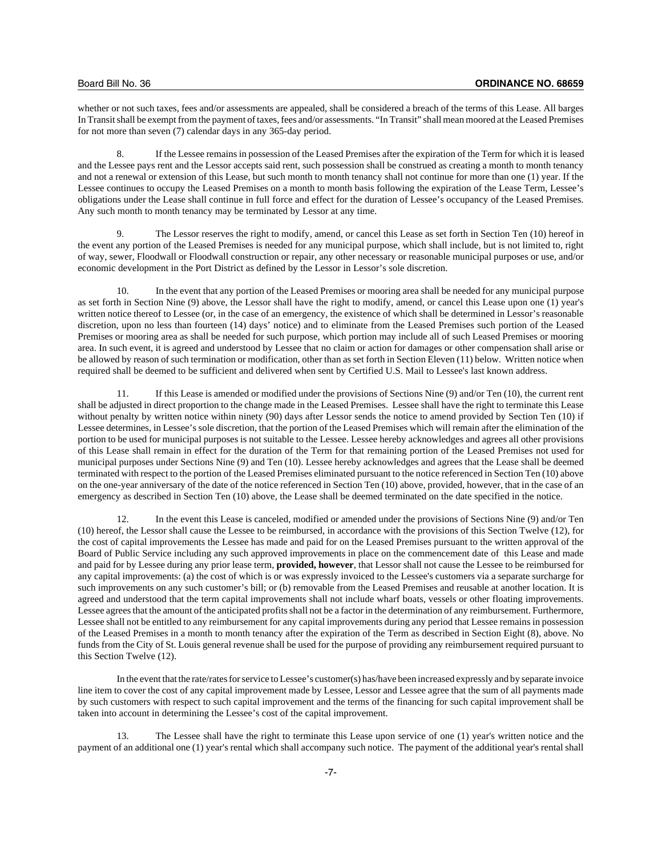whether or not such taxes, fees and/or assessments are appealed, shall be considered a breach of the terms of this Lease. All barges In Transit shall be exempt from the payment of taxes, fees and/or assessments. "In Transit" shall mean moored at the Leased Premises for not more than seven (7) calendar days in any 365-day period.

8. If the Lessee remains in possession of the Leased Premises after the expiration of the Term for which it is leased and the Lessee pays rent and the Lessor accepts said rent, such possession shall be construed as creating a month to month tenancy and not a renewal or extension of this Lease, but such month to month tenancy shall not continue for more than one (1) year. If the Lessee continues to occupy the Leased Premises on a month to month basis following the expiration of the Lease Term, Lessee's obligations under the Lease shall continue in full force and effect for the duration of Lessee's occupancy of the Leased Premises. Any such month to month tenancy may be terminated by Lessor at any time.

9. The Lessor reserves the right to modify, amend, or cancel this Lease as set forth in Section Ten (10) hereof in the event any portion of the Leased Premises is needed for any municipal purpose, which shall include, but is not limited to, right of way, sewer, Floodwall or Floodwall construction or repair, any other necessary or reasonable municipal purposes or use, and/or economic development in the Port District as defined by the Lessor in Lessor's sole discretion.

In the event that any portion of the Leased Premises or mooring area shall be needed for any municipal purpose as set forth in Section Nine (9) above, the Lessor shall have the right to modify, amend, or cancel this Lease upon one (1) year's written notice thereof to Lessee (or, in the case of an emergency, the existence of which shall be determined in Lessor's reasonable discretion, upon no less than fourteen (14) days' notice) and to eliminate from the Leased Premises such portion of the Leased Premises or mooring area as shall be needed for such purpose, which portion may include all of such Leased Premises or mooring area. In such event, it is agreed and understood by Lessee that no claim or action for damages or other compensation shall arise or be allowed by reason of such termination or modification, other than as set forth in Section Eleven (11) below. Written notice when required shall be deemed to be sufficient and delivered when sent by Certified U.S. Mail to Lessee's last known address.

11. If this Lease is amended or modified under the provisions of Sections Nine (9) and/or Ten (10), the current rent shall be adjusted in direct proportion to the change made in the Leased Premises. Lessee shall have the right to terminate this Lease without penalty by written notice within ninety (90) days after Lessor sends the notice to amend provided by Section Ten (10) if Lessee determines, in Lessee's sole discretion, that the portion of the Leased Premises which will remain after the elimination of the portion to be used for municipal purposes is not suitable to the Lessee. Lessee hereby acknowledges and agrees all other provisions of this Lease shall remain in effect for the duration of the Term for that remaining portion of the Leased Premises not used for municipal purposes under Sections Nine (9) and Ten (10). Lessee hereby acknowledges and agrees that the Lease shall be deemed terminated with respect to the portion of the Leased Premises eliminated pursuant to the notice referenced in Section Ten (10) above on the one-year anniversary of the date of the notice referenced in Section Ten (10) above, provided, however, that in the case of an emergency as described in Section Ten (10) above, the Lease shall be deemed terminated on the date specified in the notice.

12. In the event this Lease is canceled, modified or amended under the provisions of Sections Nine (9) and/or Ten (10) hereof, the Lessor shall cause the Lessee to be reimbursed, in accordance with the provisions of this Section Twelve (12), for the cost of capital improvements the Lessee has made and paid for on the Leased Premises pursuant to the written approval of the Board of Public Service including any such approved improvements in place on the commencement date of this Lease and made and paid for by Lessee during any prior lease term, **provided, however**, that Lessor shall not cause the Lessee to be reimbursed for any capital improvements: (a) the cost of which is or was expressly invoiced to the Lessee's customers via a separate surcharge for such improvements on any such customer's bill; or (b) removable from the Leased Premises and reusable at another location. It is agreed and understood that the term capital improvements shall not include wharf boats, vessels or other floating improvements. Lessee agrees that the amount of the anticipated profits shall not be a factor in the determination of any reimbursement. Furthermore, Lessee shall not be entitled to any reimbursement for any capital improvements during any period that Lessee remains in possession of the Leased Premises in a month to month tenancy after the expiration of the Term as described in Section Eight (8), above. No funds from the City of St. Louis general revenue shall be used for the purpose of providing any reimbursement required pursuant to this Section Twelve (12).

In the event that the rate/rates for service to Lessee's customer(s) has/have been increased expressly and by separate invoice line item to cover the cost of any capital improvement made by Lessee, Lessor and Lessee agree that the sum of all payments made by such customers with respect to such capital improvement and the terms of the financing for such capital improvement shall be taken into account in determining the Lessee's cost of the capital improvement.

13. The Lessee shall have the right to terminate this Lease upon service of one (1) year's written notice and the payment of an additional one (1) year's rental which shall accompany such notice. The payment of the additional year's rental shall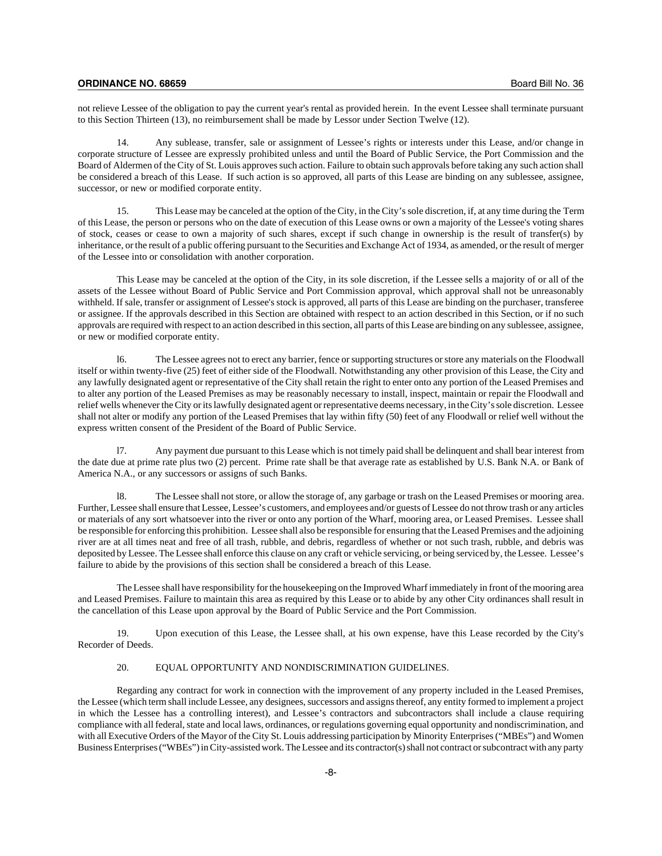not relieve Lessee of the obligation to pay the current year's rental as provided herein. In the event Lessee shall terminate pursuant to this Section Thirteen (13), no reimbursement shall be made by Lessor under Section Twelve (12).

14. Any sublease, transfer, sale or assignment of Lessee's rights or interests under this Lease, and/or change in corporate structure of Lessee are expressly prohibited unless and until the Board of Public Service, the Port Commission and the Board of Aldermen of the City of St. Louis approves such action. Failure to obtain such approvals before taking any such action shall be considered a breach of this Lease. If such action is so approved, all parts of this Lease are binding on any sublessee, assignee, successor, or new or modified corporate entity.

15. This Lease may be canceled at the option of the City, in the City's sole discretion, if, at any time during the Term of this Lease, the person or persons who on the date of execution of this Lease owns or own a majority of the Lessee's voting shares of stock, ceases or cease to own a majority of such shares, except if such change in ownership is the result of transfer(s) by inheritance, or the result of a public offering pursuant to the Securities and Exchange Act of 1934, as amended, or the result of merger of the Lessee into or consolidation with another corporation.

This Lease may be canceled at the option of the City, in its sole discretion, if the Lessee sells a majority of or all of the assets of the Lessee without Board of Public Service and Port Commission approval, which approval shall not be unreasonably withheld. If sale, transfer or assignment of Lessee's stock is approved, all parts of this Lease are binding on the purchaser, transferee or assignee. If the approvals described in this Section are obtained with respect to an action described in this Section, or if no such approvals are required with respect to an action described in this section, all parts of this Lease are binding on any sublessee, assignee, or new or modified corporate entity.

l6. The Lessee agrees not to erect any barrier, fence or supporting structures or store any materials on the Floodwall itself or within twenty-five (25) feet of either side of the Floodwall. Notwithstanding any other provision of this Lease, the City and any lawfully designated agent or representative of the City shall retain the right to enter onto any portion of the Leased Premises and to alter any portion of the Leased Premises as may be reasonably necessary to install, inspect, maintain or repair the Floodwall and relief wells whenever the City or its lawfully designated agent or representative deems necessary, in the City's sole discretion. Lessee shall not alter or modify any portion of the Leased Premises that lay within fifty (50) feet of any Floodwall or relief well without the express written consent of the President of the Board of Public Service.

l7. Any payment due pursuant to this Lease which is not timely paid shall be delinquent and shall bear interest from the date due at prime rate plus two (2) percent. Prime rate shall be that average rate as established by U.S. Bank N.A. or Bank of America N.A., or any successors or assigns of such Banks.

The Lessee shall not store, or allow the storage of, any garbage or trash on the Leased Premises or mooring area. Further, Lessee shall ensure that Lessee, Lessee's customers, and employees and/or guests of Lessee do not throw trash or any articles or materials of any sort whatsoever into the river or onto any portion of the Wharf, mooring area, or Leased Premises. Lessee shall be responsible for enforcing this prohibition. Lessee shall also be responsible for ensuring that the Leased Premises and the adjoining river are at all times neat and free of all trash, rubble, and debris, regardless of whether or not such trash, rubble, and debris was deposited by Lessee. The Lessee shall enforce this clause on any craft or vehicle servicing, or being serviced by, the Lessee. Lessee's failure to abide by the provisions of this section shall be considered a breach of this Lease.

The Lessee shall have responsibility for the housekeeping on the Improved Wharf immediately in front of the mooring area and Leased Premises. Failure to maintain this area as required by this Lease or to abide by any other City ordinances shall result in the cancellation of this Lease upon approval by the Board of Public Service and the Port Commission.

19. Upon execution of this Lease, the Lessee shall, at his own expense, have this Lease recorded by the City's Recorder of Deeds.

## 20. EQUAL OPPORTUNITY AND NONDISCRIMINATION GUIDELINES.

Regarding any contract for work in connection with the improvement of any property included in the Leased Premises, the Lessee (which term shall include Lessee, any designees, successors and assigns thereof, any entity formed to implement a project in which the Lessee has a controlling interest), and Lessee's contractors and subcontractors shall include a clause requiring compliance with all federal, state and local laws, ordinances, or regulations governing equal opportunity and nondiscrimination, and with all Executive Orders of the Mayor of the City St. Louis addressing participation by Minority Enterprises ("MBEs") and Women Business Enterprises ("WBEs") in City-assisted work. The Lessee and its contractor(s) shall not contract or subcontract with any party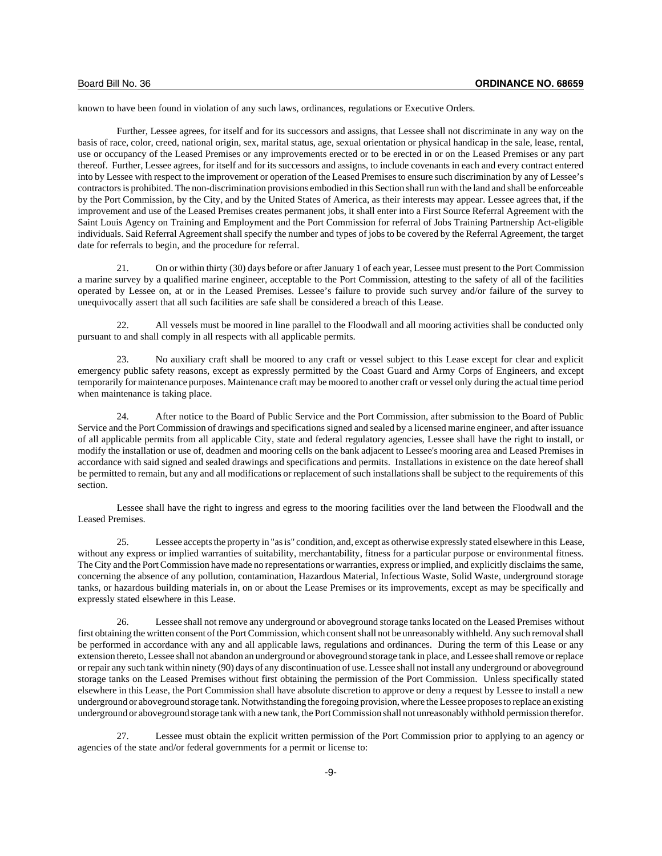known to have been found in violation of any such laws, ordinances, regulations or Executive Orders.

Further, Lessee agrees, for itself and for its successors and assigns, that Lessee shall not discriminate in any way on the basis of race, color, creed, national origin, sex, marital status, age, sexual orientation or physical handicap in the sale, lease, rental, use or occupancy of the Leased Premises or any improvements erected or to be erected in or on the Leased Premises or any part thereof. Further, Lessee agrees, for itself and for its successors and assigns, to include covenants in each and every contract entered into by Lessee with respect to the improvement or operation of the Leased Premises to ensure such discrimination by any of Lessee's contractors is prohibited. The non-discrimination provisions embodied in this Section shall run with the land and shall be enforceable by the Port Commission, by the City, and by the United States of America, as their interests may appear. Lessee agrees that, if the improvement and use of the Leased Premises creates permanent jobs, it shall enter into a First Source Referral Agreement with the Saint Louis Agency on Training and Employment and the Port Commission for referral of Jobs Training Partnership Act-eligible individuals. Said Referral Agreement shall specify the number and types of jobs to be covered by the Referral Agreement, the target date for referrals to begin, and the procedure for referral.

21. On or within thirty (30) days before or after January 1 of each year, Lessee must present to the Port Commission a marine survey by a qualified marine engineer, acceptable to the Port Commission, attesting to the safety of all of the facilities operated by Lessee on, at or in the Leased Premises. Lessee's failure to provide such survey and/or failure of the survey to unequivocally assert that all such facilities are safe shall be considered a breach of this Lease.

22. All vessels must be moored in line parallel to the Floodwall and all mooring activities shall be conducted only pursuant to and shall comply in all respects with all applicable permits.

23. No auxiliary craft shall be moored to any craft or vessel subject to this Lease except for clear and explicit emergency public safety reasons, except as expressly permitted by the Coast Guard and Army Corps of Engineers, and except temporarily for maintenance purposes. Maintenance craft may be moored to another craft or vessel only during the actual time period when maintenance is taking place.

24. After notice to the Board of Public Service and the Port Commission, after submission to the Board of Public Service and the Port Commission of drawings and specifications signed and sealed by a licensed marine engineer, and after issuance of all applicable permits from all applicable City, state and federal regulatory agencies, Lessee shall have the right to install, or modify the installation or use of, deadmen and mooring cells on the bank adjacent to Lessee's mooring area and Leased Premises in accordance with said signed and sealed drawings and specifications and permits. Installations in existence on the date hereof shall be permitted to remain, but any and all modifications or replacement of such installations shall be subject to the requirements of this section.

Lessee shall have the right to ingress and egress to the mooring facilities over the land between the Floodwall and the Leased Premises.

25. Lessee accepts the property in "as is" condition, and, except as otherwise expressly stated elsewhere in this Lease, without any express or implied warranties of suitability, merchantability, fitness for a particular purpose or environmental fitness. The City and the Port Commission have made no representations or warranties, express or implied, and explicitly disclaims the same, concerning the absence of any pollution, contamination, Hazardous Material, Infectious Waste, Solid Waste, underground storage tanks, or hazardous building materials in, on or about the Lease Premises or its improvements, except as may be specifically and expressly stated elsewhere in this Lease.

26. Lessee shall not remove any underground or aboveground storage tanks located on the Leased Premises without first obtaining the written consent of the Port Commission, which consent shall not be unreasonably withheld. Any such removal shall be performed in accordance with any and all applicable laws, regulations and ordinances. During the term of this Lease or any extension thereto, Lessee shall not abandon an underground or aboveground storage tank in place, and Lessee shall remove or replace or repair any such tank within ninety (90) days of any discontinuation of use. Lessee shall not install any underground or aboveground storage tanks on the Leased Premises without first obtaining the permission of the Port Commission. Unless specifically stated elsewhere in this Lease, the Port Commission shall have absolute discretion to approve or deny a request by Lessee to install a new underground or aboveground storage tank. Notwithstanding the foregoing provision, where the Lessee proposes to replace an existing underground or aboveground storage tank with a new tank, the Port Commission shall not unreasonably withhold permission therefor.

27. Lessee must obtain the explicit written permission of the Port Commission prior to applying to an agency or agencies of the state and/or federal governments for a permit or license to: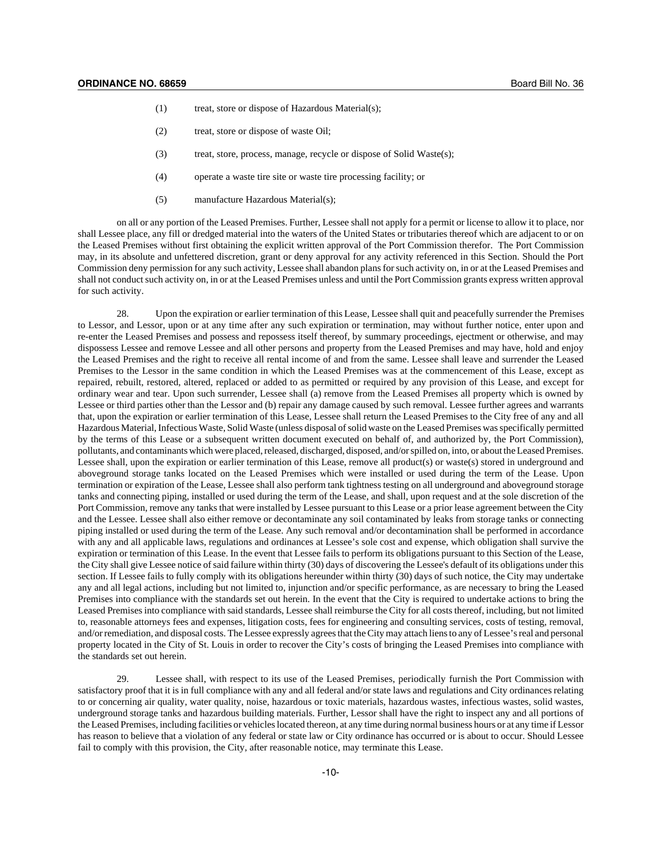- (1) treat, store or dispose of Hazardous Material(s);
- (2) treat, store or dispose of waste Oil;
- (3) treat, store, process, manage, recycle or dispose of Solid Waste(s);
- (4) operate a waste tire site or waste tire processing facility; or
- (5) manufacture Hazardous Material(s);

on all or any portion of the Leased Premises. Further, Lessee shall not apply for a permit or license to allow it to place, nor shall Lessee place, any fill or dredged material into the waters of the United States or tributaries thereof which are adjacent to or on the Leased Premises without first obtaining the explicit written approval of the Port Commission therefor. The Port Commission may, in its absolute and unfettered discretion, grant or deny approval for any activity referenced in this Section. Should the Port Commission deny permission for any such activity, Lessee shall abandon plans for such activity on, in or at the Leased Premises and shall not conduct such activity on, in or at the Leased Premises unless and until the Port Commission grants express written approval for such activity.

28. Upon the expiration or earlier termination of this Lease, Lessee shall quit and peacefully surrender the Premises to Lessor, and Lessor, upon or at any time after any such expiration or termination, may without further notice, enter upon and re-enter the Leased Premises and possess and repossess itself thereof, by summary proceedings, ejectment or otherwise, and may dispossess Lessee and remove Lessee and all other persons and property from the Leased Premises and may have, hold and enjoy the Leased Premises and the right to receive all rental income of and from the same. Lessee shall leave and surrender the Leased Premises to the Lessor in the same condition in which the Leased Premises was at the commencement of this Lease, except as repaired, rebuilt, restored, altered, replaced or added to as permitted or required by any provision of this Lease, and except for ordinary wear and tear. Upon such surrender, Lessee shall (a) remove from the Leased Premises all property which is owned by Lessee or third parties other than the Lessor and (b) repair any damage caused by such removal. Lessee further agrees and warrants that, upon the expiration or earlier termination of this Lease, Lessee shall return the Leased Premises to the City free of any and all Hazardous Material, Infectious Waste, Solid Waste (unless disposal of solid waste on the Leased Premises was specifically permitted by the terms of this Lease or a subsequent written document executed on behalf of, and authorized by, the Port Commission), pollutants, and contaminants which were placed, released, discharged, disposed, and/or spilled on, into, or about the Leased Premises. Lessee shall, upon the expiration or earlier termination of this Lease, remove all product(s) or waste(s) stored in underground and aboveground storage tanks located on the Leased Premises which were installed or used during the term of the Lease. Upon termination or expiration of the Lease, Lessee shall also perform tank tightness testing on all underground and aboveground storage tanks and connecting piping, installed or used during the term of the Lease, and shall, upon request and at the sole discretion of the Port Commission, remove any tanks that were installed by Lessee pursuant to this Lease or a prior lease agreement between the City and the Lessee. Lessee shall also either remove or decontaminate any soil contaminated by leaks from storage tanks or connecting piping installed or used during the term of the Lease. Any such removal and/or decontamination shall be performed in accordance with any and all applicable laws, regulations and ordinances at Lessee's sole cost and expense, which obligation shall survive the expiration or termination of this Lease. In the event that Lessee fails to perform its obligations pursuant to this Section of the Lease, the City shall give Lessee notice of said failure within thirty (30) days of discovering the Lessee's default of its obligations under this section. If Lessee fails to fully comply with its obligations hereunder within thirty (30) days of such notice, the City may undertake any and all legal actions, including but not limited to, injunction and/or specific performance, as are necessary to bring the Leased Premises into compliance with the standards set out herein. In the event that the City is required to undertake actions to bring the Leased Premises into compliance with said standards, Lessee shall reimburse the City for all costs thereof, including, but not limited to, reasonable attorneys fees and expenses, litigation costs, fees for engineering and consulting services, costs of testing, removal, and/or remediation, and disposal costs. The Lessee expressly agrees that the City may attach liens to any of Lessee's real and personal property located in the City of St. Louis in order to recover the City's costs of bringing the Leased Premises into compliance with the standards set out herein.

29. Lessee shall, with respect to its use of the Leased Premises, periodically furnish the Port Commission with satisfactory proof that it is in full compliance with any and all federal and/or state laws and regulations and City ordinances relating to or concerning air quality, water quality, noise, hazardous or toxic materials, hazardous wastes, infectious wastes, solid wastes, underground storage tanks and hazardous building materials. Further, Lessor shall have the right to inspect any and all portions of the Leased Premises, including facilities or vehicles located thereon, at any time during normal business hours or at any time if Lessor has reason to believe that a violation of any federal or state law or City ordinance has occurred or is about to occur. Should Lessee fail to comply with this provision, the City, after reasonable notice, may terminate this Lease.